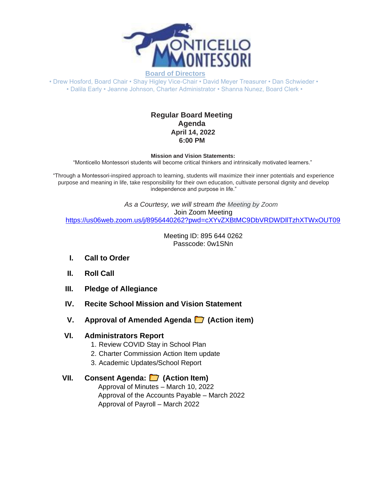

**Board of Directors** • Drew Hosford, Board Chair • Shay Higley Vice-Chair • David Meyer Treasurer • Dan Schwieder •

• Dalila Early • Jeanne Johnson, Charter Administrator • Shanna Nunez, Board Clerk •

## **Regular Board Meeting Agenda April 14, 2022 6:00 PM**

**Mission and Vision Statements:**

"Monticello Montessori students will become critical thinkers and intrinsically motivated learners."

"Through a Montessori-inspired approach to learning, students will maximize their inner potentials and experience purpose and meaning in life, take responsibility for their own education, cultivate personal dignity and develop independence and purpose in life."

*As a Courtesy, we will stream the Meeting by Zoom* Join Zoom Meeting [https://us06web.zoom.us/j/8956440262?pwd=cXYvZXBtMC9DbVRDWDllTzhXTWxOUT09](https://www.google.com/url?q=https://us06web.zoom.us/j/8956440262?pwd%3DcXYvZXBtMC9DbVRDWDllTzhXTWxOUT09&sa=D&source=calendar&ust=1649611435962285&usg=AOvVaw3qxjr32WpDMzv0cYTitQkm)

> Meeting ID: 895 644 0262 Passcode: 0w1SNn

- **I. Call to Order**
- **II. Roll Call**
- **III. Pledge of Allegiance**
- **IV. Recite School Mission and Vision Statement**
- **V. Approval of Amended Agenda (Action item)**

## **VI. Administrators Report**

- 1. Review COVID Stay in School Plan
- 2. Charter Commission Action Item update
- 3. Academic Updates/School Report

## **VII. Consent Agenda: (Action Item)**

Approval of Minutes – March 10, 2022 Approval of the Accounts Payable – March 2022 Approval of Payroll – March 2022